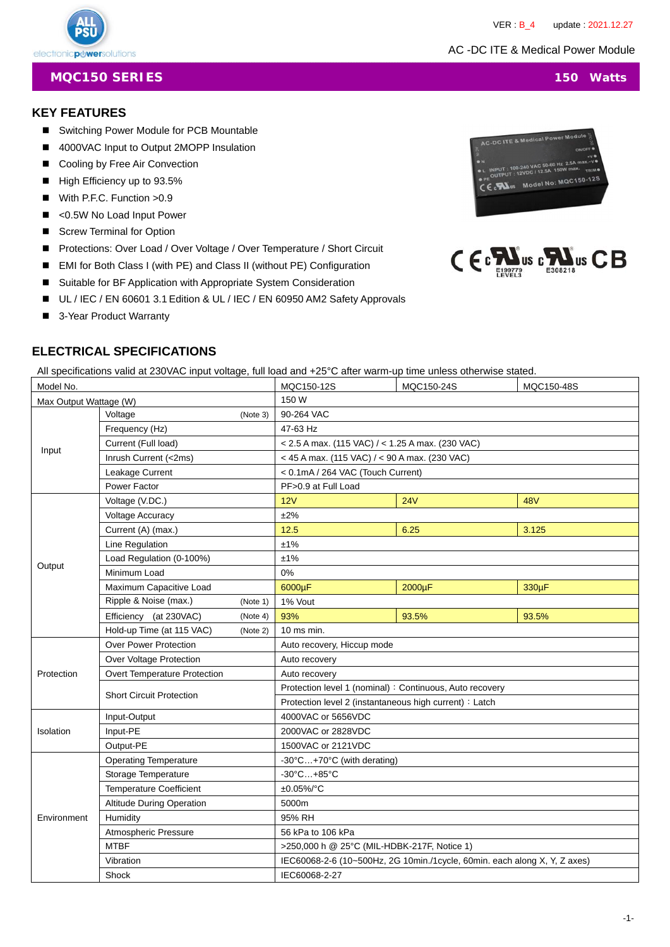VER : B\_4 update : 2021.12.27

## **MQC150 SERIES** 150 Watts

# **KEY FEATURES**

electronicpuwersolutions

- Switching Power Module for PCB Mountable
- 4000VAC Input to Output 2MOPP Insulation
- Cooling by Free Air Convection
- High Efficiency up to 93.5%
- With P.F.C. Function > 0.9
- <0.5W No Load Input Power
- Screw Terminal for Option
- Protections: Over Load / Over Voltage / Over Temperature / Short Circuit
- EMI for Both Class I (with PE) and Class II (without PE) Configuration
- Suitable for BF Application with Appropriate System Consideration
- UL / IEC / EN 60601 3.1 Edition & UL / IEC / EN 60950 AM2 Safety Approvals
- 3-Year Product Warranty

# **ELECTRICAL SPECIFICATIONS**

All specifications valid at 230VAC input voltage, full load and +25°C after warm-up time unless otherwise stated.

| Model No.              |                                 |          | MQC150-12S                                                                | MQC150-24S | MQC150-48S |  |  |  |
|------------------------|---------------------------------|----------|---------------------------------------------------------------------------|------------|------------|--|--|--|
| Max Output Wattage (W) |                                 |          | 150 W                                                                     |            |            |  |  |  |
|                        | Voltage                         | (Note 3) | 90-264 VAC                                                                |            |            |  |  |  |
| Input                  | Frequency (Hz)                  |          | 47-63 Hz                                                                  |            |            |  |  |  |
|                        | Current (Full load)             |          | < 2.5 A max. (115 VAC) / < 1.25 A max. (230 VAC)                          |            |            |  |  |  |
|                        | Inrush Current (<2ms)           |          | < 45 A max. (115 VAC) / < 90 A max. (230 VAC)                             |            |            |  |  |  |
|                        | Leakage Current                 |          | < 0.1mA / 264 VAC (Touch Current)                                         |            |            |  |  |  |
|                        | Power Factor                    |          | PF>0.9 at Full Load                                                       |            |            |  |  |  |
|                        | Voltage (V.DC.)                 |          | 12V                                                                       | 24V        | <b>48V</b> |  |  |  |
|                        | <b>Voltage Accuracy</b>         |          | ±2%                                                                       |            |            |  |  |  |
|                        | Current (A) (max.)              |          | 12.5                                                                      | 6.25       | 3.125      |  |  |  |
|                        | Line Regulation                 |          | ±1%                                                                       |            |            |  |  |  |
|                        | Load Regulation (0-100%)        |          | ±1%                                                                       |            |            |  |  |  |
| Output                 | Minimum Load                    |          | 0%                                                                        |            |            |  |  |  |
|                        | Maximum Capacitive Load         |          | 6000µF                                                                    | 2000µF     | 330µF      |  |  |  |
|                        | Ripple & Noise (max.)           | (Note 1) | 1% Vout                                                                   |            |            |  |  |  |
|                        | Efficiency (at 230VAC)          | (Note 4) | 93%                                                                       | 93.5%      | 93.5%      |  |  |  |
|                        | Hold-up Time (at 115 VAC)       | (Note 2) | 10 ms min.                                                                |            |            |  |  |  |
|                        | <b>Over Power Protection</b>    |          | Auto recovery, Hiccup mode                                                |            |            |  |  |  |
|                        | Over Voltage Protection         |          | Auto recovery                                                             |            |            |  |  |  |
| Protection             | Overt Temperature Protection    |          | Auto recovery                                                             |            |            |  |  |  |
|                        | <b>Short Circuit Protection</b> |          | Protection level 1 (nominal) : Continuous, Auto recovery                  |            |            |  |  |  |
|                        |                                 |          | Protection level 2 (instantaneous high current) : Latch                   |            |            |  |  |  |
|                        | Input-Output                    |          | 4000VAC or 5656VDC                                                        |            |            |  |  |  |
| Isolation              | Input-PE                        |          | 2000VAC or 2828VDC                                                        |            |            |  |  |  |
|                        | Output-PE                       |          | 1500VAC or 2121VDC                                                        |            |            |  |  |  |
|                        | <b>Operating Temperature</b>    |          | -30°C+70°C (with derating)                                                |            |            |  |  |  |
| Environment            | Storage Temperature             |          | -30°C+85°C                                                                |            |            |  |  |  |
|                        | <b>Temperature Coefficient</b>  |          | ±0.05%/°C                                                                 |            |            |  |  |  |
|                        | Altitude During Operation       |          | 5000m                                                                     |            |            |  |  |  |
|                        | Humidity                        |          | 95% RH                                                                    |            |            |  |  |  |
|                        | Atmospheric Pressure            |          | 56 kPa to 106 kPa                                                         |            |            |  |  |  |
|                        | <b>MTBF</b>                     |          | >250,000 h @ 25°C (MIL-HDBK-217F, Notice 1)                               |            |            |  |  |  |
|                        | Vibration                       |          | IEC60068-2-6 (10~500Hz, 2G 10min./1cycle, 60min. each along X, Y, Z axes) |            |            |  |  |  |
|                        | Shock                           |          | IEC60068-2-27                                                             |            |            |  |  |  |





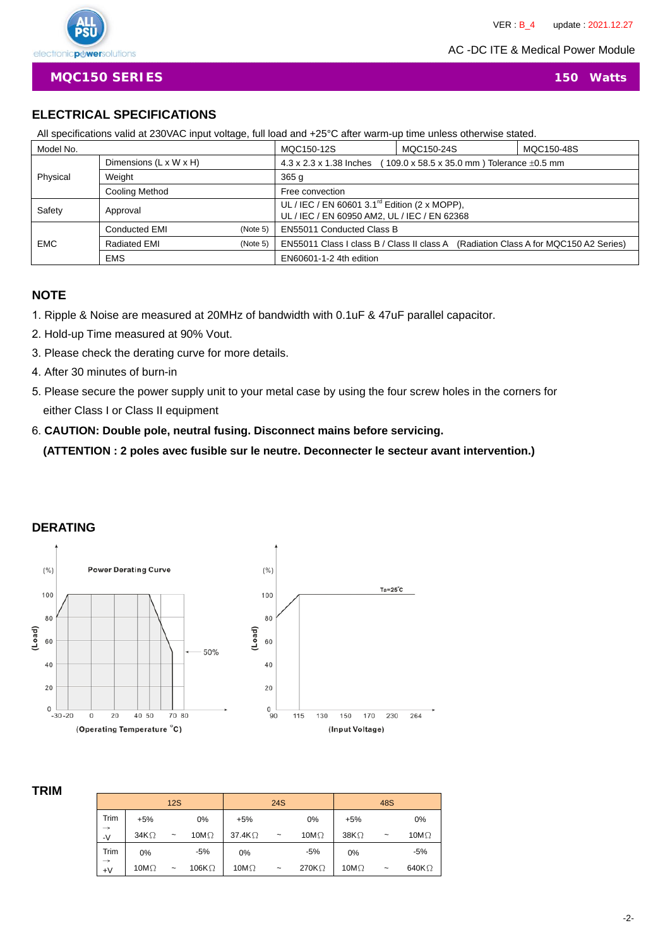

**MQC150 SERIES** 150 Watts

# **ELECTRICAL SPECIFICATIONS**

All specifications valid at 230VAC input voltage, full load and +25°C after warm-up time unless otherwise stated.

| Model No.  |                                  |          | MQC150-12S                                                                                                | MQC150-24S | MQC150-48S |  |
|------------|----------------------------------|----------|-----------------------------------------------------------------------------------------------------------|------------|------------|--|
|            | Dimensions (L x W x H)           |          | 4.3 x 2.3 x 1.38 Inches<br>109.0 x 58.5 x 35.0 mm ) Tolerance $\pm 0.5$ mm                                |            |            |  |
| Physical   | Weight                           |          | 365q                                                                                                      |            |            |  |
|            | Cooling Method                   |          | Free convection                                                                                           |            |            |  |
| Safety     | Approval                         |          | UL / IEC / EN 60601 3.1 <sup>rd</sup> Edition (2 x MOPP),<br>UL / IEC / EN 60950 AM2, UL / IEC / EN 62368 |            |            |  |
|            | <b>Conducted EMI</b><br>(Note 5) |          | <b>EN55011 Conducted Class B</b>                                                                          |            |            |  |
| <b>EMC</b> | <b>Radiated EMI</b>              | (Note 5) | EN55011 Class I class B / Class II class A (Radiation Class A for MQC150 A2 Series)                       |            |            |  |
|            | <b>EMS</b>                       |          | EN60601-1-2 4th edition                                                                                   |            |            |  |

## **NOTE**

- 1. Ripple & Noise are measured at 20MHz of bandwidth with 0.1uF & 47uF parallel capacitor.
- 2. Hold-up Time measured at 90% Vout.
- 3. Please check the derating curve for more details.
- 4. After 30 minutes of burn-in
- 5. Please secure the power supply unit to your metal case by using the four screw holes in the corners for either Class I or Class II equipment

# 6. **CAUTION: Double pole, neutral fusing. Disconnect mains before servicing. (ATTENTION : 2 poles avec fusible sur le neutre. Deconnecter le secteur avant intervention.)**

# **DERATING**



### **TRIM**

|                       |              | 12S        |               |                | 24S        |              |              | 48S                   |               |
|-----------------------|--------------|------------|---------------|----------------|------------|--------------|--------------|-----------------------|---------------|
| Trim                  | $+5%$        |            | 0%            | $+5%$          |            | 0%           | $+5%$        |                       | 0%            |
| $\rightarrow$<br>$-V$ | 34K $\Omega$ | $\tilde{}$ | 10M $\Omega$  | 37.4K $\Omega$ | $\sim$     | 10M $\Omega$ | $38K\Omega$  | $\tilde{\phantom{a}}$ | 10M $\Omega$  |
| Trim                  | 0%           |            | $-5%$         | 0%             |            | $-5%$        | 0%           |                       | $-5%$         |
| $\rightarrow$<br>$+V$ | 10M $\Omega$ | $\tilde{}$ | 106K $\Omega$ | 10M $\Omega$   | $\tilde{}$ | 270KΩ        | 10M $\Omega$ | $\tilde{}$            | 640K $\Omega$ |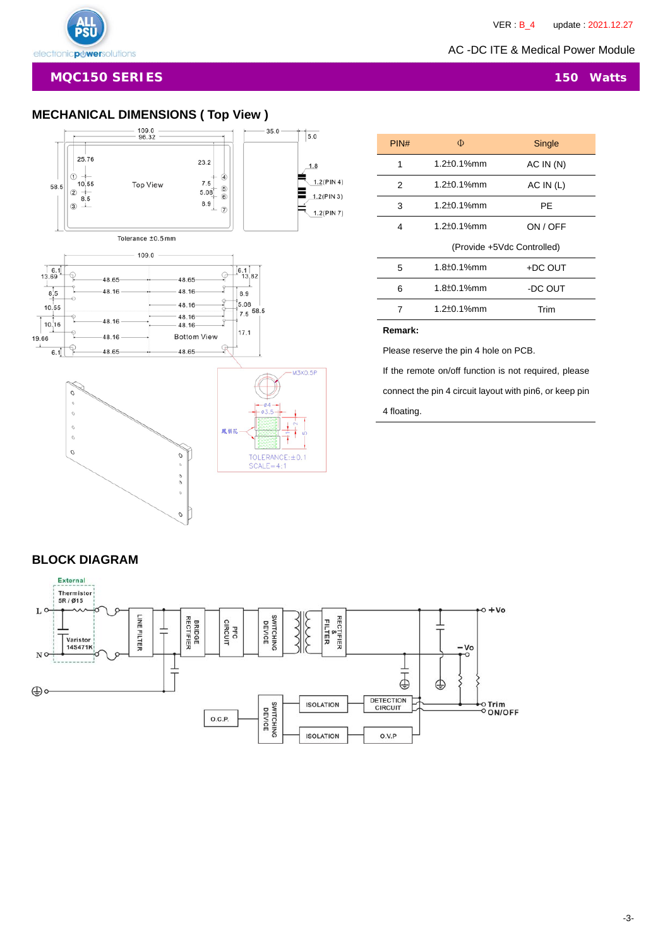AC -DC ITE & Medical Power Module

# **MECHANICAL DIMENSIONS ( Top View )**



| PIN# | Φ                          | Single    |  |  |  |
|------|----------------------------|-----------|--|--|--|
| 1    | $1.2 \pm 0.1\%$ mm         | AC IN(N)  |  |  |  |
| 2    | $1.2 \pm 0.1\%$ mm         | AC IN (L) |  |  |  |
| 3    | $1.2 \pm 0.1\%$ mm         | РE        |  |  |  |
| 4    | $1.2 \pm 0.1\%$ mm         | ON / OFF  |  |  |  |
|      | (Provide +5Vdc Controlled) |           |  |  |  |
| 5    | $1.8 \pm 0.1\%$ mm         | +DC OUT   |  |  |  |
| 6    | $1.8 \pm 0.1\%$ mm         | -DC OUT   |  |  |  |
| 7    | $1.2 \pm 0.1\%$ mm         | Trim      |  |  |  |
|      |                            |           |  |  |  |

#### **Remark:**

Please reserve the pin 4 hole on PCB.

If the remote on/off function is not required, please connect the pin 4 circuit layout with pin6, or keep pin

4 floating.

#### Thermistor<br>5R/Ø15  $o + Vo$ L C RECTIFIER<br>FILTER<br>FILTER **BRIDGE**<br>RECTIFIER SWITCHING<br>DEVICE 38 LINE FILTER PFC<br>CIRCUIT  $\sqrt{\frac{1}{100}}$ T 14S471K  $-<sub>Vo</sub>$ N ó ⊥  $\bar{\mathrm{t}}$ ⊕ ⊕∘ DETECTION<br>CIRCUIT **SWITCHING**<br>DEVICE **ISOLATION** ⊙Trim<br><sup>O</sup> ON/OFF O.C.P. **ISOLATION** O.V.P

### **BLOCK DIAGRAM**

External